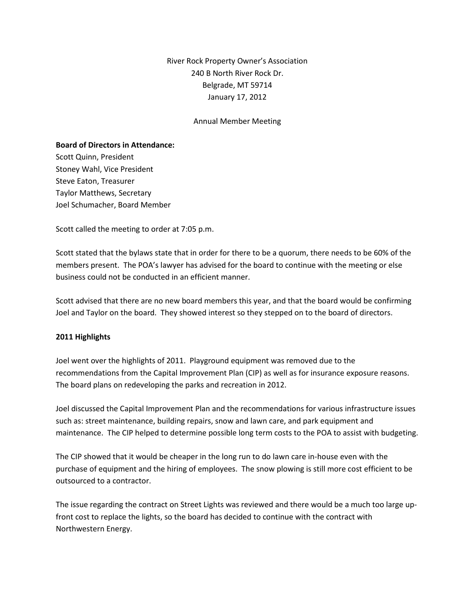River Rock Property Owner's Association 240 B North River Rock Dr. Belgrade, MT 59714 January 17, 2012

#### Annual Member Meeting

#### **Board of Directors in Attendance:**

Scott Quinn, President Stoney Wahl, Vice President Steve Eaton, Treasurer Taylor Matthews, Secretary Joel Schumacher, Board Member

Scott called the meeting to order at 7:05 p.m.

Scott stated that the bylaws state that in order for there to be a quorum, there needs to be 60% of the members present. The POA's lawyer has advised for the board to continue with the meeting or else business could not be conducted in an efficient manner.

Scott advised that there are no new board members this year, and that the board would be confirming Joel and Taylor on the board. They showed interest so they stepped on to the board of directors.

### **2011 Highlights**

Joel went over the highlights of 2011. Playground equipment was removed due to the recommendations from the Capital Improvement Plan (CIP) as well as for insurance exposure reasons. The board plans on redeveloping the parks and recreation in 2012.

Joel discussed the Capital Improvement Plan and the recommendations for various infrastructure issues such as: street maintenance, building repairs, snow and lawn care, and park equipment and maintenance. The CIP helped to determine possible long term costs to the POA to assist with budgeting.

The CIP showed that it would be cheaper in the long run to do lawn care in-house even with the purchase of equipment and the hiring of employees. The snow plowing is still more cost efficient to be outsourced to a contractor.

The issue regarding the contract on Street Lights was reviewed and there would be a much too large upfront cost to replace the lights, so the board has decided to continue with the contract with Northwestern Energy.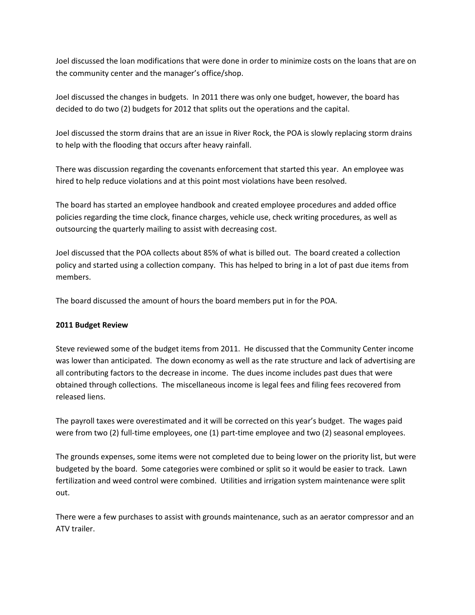Joel discussed the loan modifications that were done in order to minimize costs on the loans that are on the community center and the manager's office/shop.

Joel discussed the changes in budgets. In 2011 there was only one budget, however, the board has decided to do two (2) budgets for 2012 that splits out the operations and the capital.

Joel discussed the storm drains that are an issue in River Rock, the POA is slowly replacing storm drains to help with the flooding that occurs after heavy rainfall.

There was discussion regarding the covenants enforcement that started this year. An employee was hired to help reduce violations and at this point most violations have been resolved.

The board has started an employee handbook and created employee procedures and added office policies regarding the time clock, finance charges, vehicle use, check writing procedures, as well as outsourcing the quarterly mailing to assist with decreasing cost.

Joel discussed that the POA collects about 85% of what is billed out. The board created a collection policy and started using a collection company. This has helped to bring in a lot of past due items from members.

The board discussed the amount of hours the board members put in for the POA.

## **2011 Budget Review**

Steve reviewed some of the budget items from 2011. He discussed that the Community Center income was lower than anticipated. The down economy as well as the rate structure and lack of advertising are all contributing factors to the decrease in income. The dues income includes past dues that were obtained through collections. The miscellaneous income is legal fees and filing fees recovered from released liens.

The payroll taxes were overestimated and it will be corrected on this year's budget. The wages paid were from two (2) full-time employees, one (1) part-time employee and two (2) seasonal employees.

The grounds expenses, some items were not completed due to being lower on the priority list, but were budgeted by the board. Some categories were combined or split so it would be easier to track. Lawn fertilization and weed control were combined. Utilities and irrigation system maintenance were split out.

There were a few purchases to assist with grounds maintenance, such as an aerator compressor and an ATV trailer.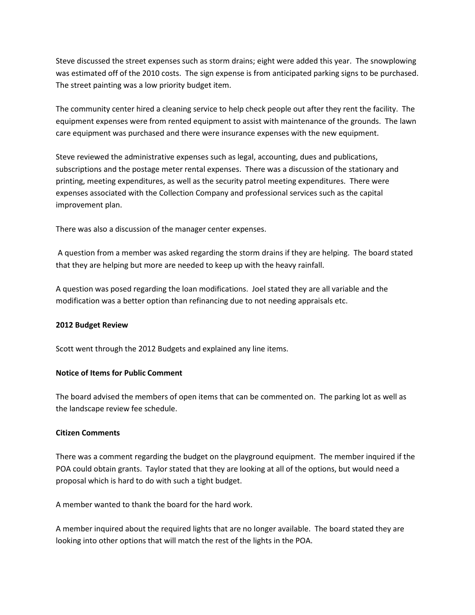Steve discussed the street expenses such as storm drains; eight were added this year. The snowplowing was estimated off of the 2010 costs. The sign expense is from anticipated parking signs to be purchased. The street painting was a low priority budget item.

The community center hired a cleaning service to help check people out after they rent the facility. The equipment expenses were from rented equipment to assist with maintenance of the grounds. The lawn care equipment was purchased and there were insurance expenses with the new equipment.

Steve reviewed the administrative expenses such as legal, accounting, dues and publications, subscriptions and the postage meter rental expenses. There was a discussion of the stationary and printing, meeting expenditures, as well as the security patrol meeting expenditures. There were expenses associated with the Collection Company and professional services such as the capital improvement plan.

There was also a discussion of the manager center expenses.

A question from a member was asked regarding the storm drains if they are helping. The board stated that they are helping but more are needed to keep up with the heavy rainfall.

A question was posed regarding the loan modifications. Joel stated they are all variable and the modification was a better option than refinancing due to not needing appraisals etc.

## **2012 Budget Review**

Scott went through the 2012 Budgets and explained any line items.

## **Notice of Items for Public Comment**

The board advised the members of open items that can be commented on. The parking lot as well as the landscape review fee schedule.

## **Citizen Comments**

There was a comment regarding the budget on the playground equipment. The member inquired if the POA could obtain grants. Taylor stated that they are looking at all of the options, but would need a proposal which is hard to do with such a tight budget.

A member wanted to thank the board for the hard work.

A member inquired about the required lights that are no longer available. The board stated they are looking into other options that will match the rest of the lights in the POA.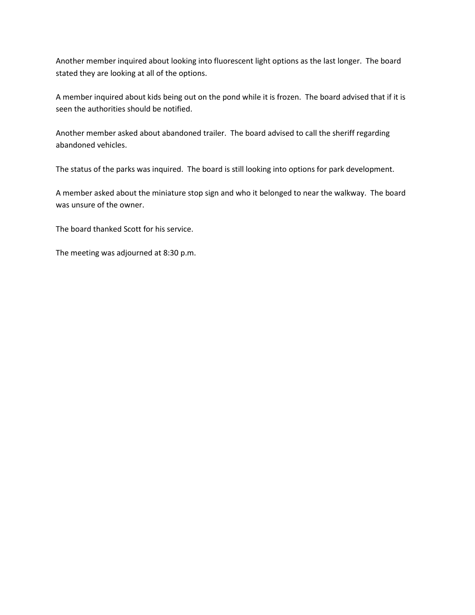Another member inquired about looking into fluorescent light options as the last longer. The board stated they are looking at all of the options.

A member inquired about kids being out on the pond while it is frozen. The board advised that if it is seen the authorities should be notified.

Another member asked about abandoned trailer. The board advised to call the sheriff regarding abandoned vehicles.

The status of the parks was inquired. The board is still looking into options for park development.

A member asked about the miniature stop sign and who it belonged to near the walkway. The board was unsure of the owner.

The board thanked Scott for his service.

The meeting was adjourned at 8:30 p.m.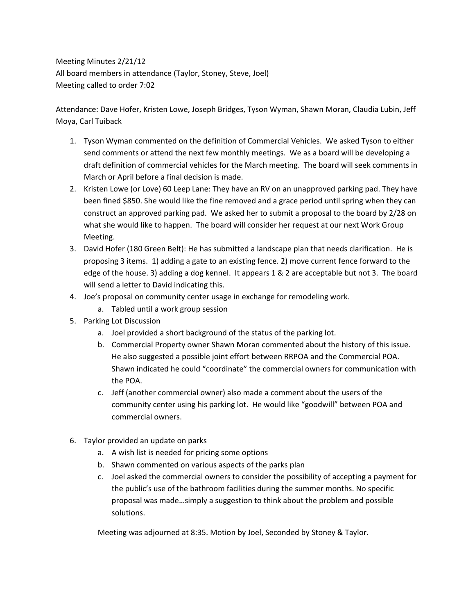Meeting Minutes 2/21/12 All board members in attendance (Taylor, Stoney, Steve, Joel) Meeting called to order 7:02

Attendance: Dave Hofer, Kristen Lowe, Joseph Bridges, Tyson Wyman, Shawn Moran, Claudia Lubin, Jeff Moya, Carl Tuiback

- 1. Tyson Wyman commented on the definition of Commercial Vehicles. We asked Tyson to either send comments or attend the next few monthly meetings. We as a board will be developing a draft definition of commercial vehicles for the March meeting. The board will seek comments in March or April before a final decision is made.
- 2. Kristen Lowe (or Love) 60 Leep Lane: They have an RV on an unapproved parking pad. They have been fined \$850. She would like the fine removed and a grace period until spring when they can construct an approved parking pad. We asked her to submit a proposal to the board by 2/28 on what she would like to happen. The board will consider her request at our next Work Group Meeting.
- 3. David Hofer (180 Green Belt): He has submitted a landscape plan that needs clarification. He is proposing 3 items. 1) adding a gate to an existing fence. 2) move current fence forward to the edge of the house. 3) adding a dog kennel. It appears 1 & 2 are acceptable but not 3. The board will send a letter to David indicating this.
- 4. Joe's proposal on community center usage in exchange for remodeling work.
	- a. Tabled until a work group session
- 5. Parking Lot Discussion
	- a. Joel provided a short background of the status of the parking lot.
	- b. Commercial Property owner Shawn Moran commented about the history of this issue. He also suggested a possible joint effort between RRPOA and the Commercial POA. Shawn indicated he could "coordinate" the commercial owners for communication with the POA.
	- c. Jeff (another commercial owner) also made a comment about the users of the community center using his parking lot. He would like "goodwill" between POA and commercial owners.
- 6. Taylor provided an update on parks
	- a. A wish list is needed for pricing some options
	- b. Shawn commented on various aspects of the parks plan
	- c. Joel asked the commercial owners to consider the possibility of accepting a payment for the public's use of the bathroom facilities during the summer months. No specific proposal was made…simply a suggestion to think about the problem and possible solutions.

Meeting was adjourned at 8:35. Motion by Joel, Seconded by Stoney & Taylor.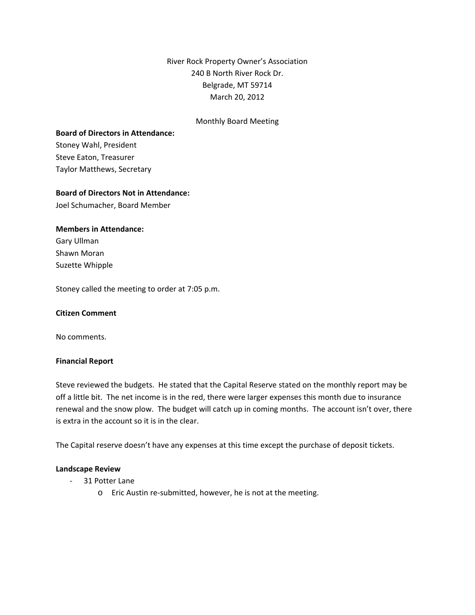River Rock Property Owner's Association 240 B North River Rock Dr. Belgrade, MT 59714 March 20, 2012

## Monthly Board Meeting

#### **Board of Directors in Attendance:**

Stoney Wahl, President Steve Eaton, Treasurer Taylor Matthews, Secretary

#### **Board of Directors Not in Attendance:**

Joel Schumacher, Board Member

### **Members in Attendance:**

Gary Ullman Shawn Moran Suzette Whipple

Stoney called the meeting to order at 7:05 p.m.

#### **Citizen Comment**

No comments.

#### **Financial Report**

Steve reviewed the budgets. He stated that the Capital Reserve stated on the monthly report may be off a little bit. The net income is in the red, there were larger expenses this month due to insurance renewal and the snow plow. The budget will catch up in coming months. The account isn't over, there is extra in the account so it is in the clear.

The Capital reserve doesn't have any expenses at this time except the purchase of deposit tickets.

#### **Landscape Review**

- ‐ 31 Potter Lane
	- o Eric Austin re‐submitted, however, he is not at the meeting.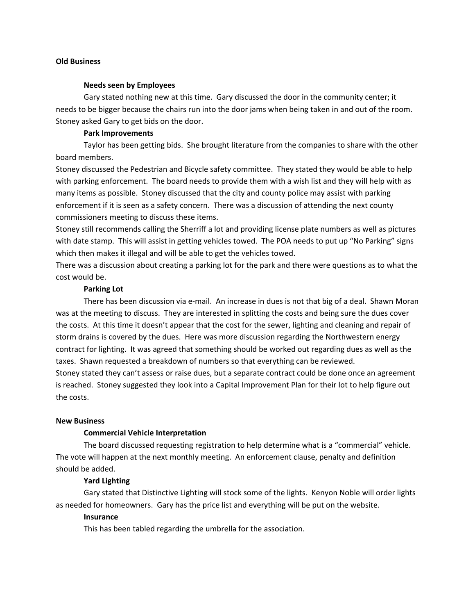### **Old Business**

#### **Needs seen by Employees**

Gary stated nothing new at this time. Gary discussed the door in the community center; it needs to be bigger because the chairs run into the door jams when being taken in and out of the room. Stoney asked Gary to get bids on the door.

## **Park Improvements**

Taylor has been getting bids. She brought literature from the companies to share with the other board members.

Stoney discussed the Pedestrian and Bicycle safety committee. They stated they would be able to help with parking enforcement. The board needs to provide them with a wish list and they will help with as many items as possible. Stoney discussed that the city and county police may assist with parking enforcement if it is seen as a safety concern. There was a discussion of attending the next county commissioners meeting to discuss these items.

Stoney still recommends calling the Sherriff a lot and providing license plate numbers as well as pictures with date stamp. This will assist in getting vehicles towed. The POA needs to put up "No Parking" signs which then makes it illegal and will be able to get the vehicles towed.

There was a discussion about creating a parking lot for the park and there were questions as to what the cost would be.

#### **Parking Lot**

There has been discussion via e‐mail. An increase in dues is not that big of a deal. Shawn Moran was at the meeting to discuss. They are interested in splitting the costs and being sure the dues cover the costs. At this time it doesn't appear that the cost for the sewer, lighting and cleaning and repair of storm drains is covered by the dues. Here was more discussion regarding the Northwestern energy contract for lighting. It was agreed that something should be worked out regarding dues as well as the taxes. Shawn requested a breakdown of numbers so that everything can be reviewed.

Stoney stated they can't assess or raise dues, but a separate contract could be done once an agreement is reached. Stoney suggested they look into a Capital Improvement Plan for their lot to help figure out the costs.

### **New Business**

#### **Commercial Vehicle Interpretation**

The board discussed requesting registration to help determine what is a "commercial" vehicle. The vote will happen at the next monthly meeting. An enforcement clause, penalty and definition should be added.

#### **Yard Lighting**

Gary stated that Distinctive Lighting will stock some of the lights. Kenyon Noble will order lights as needed for homeowners. Gary has the price list and everything will be put on the website.

### **Insurance**

This has been tabled regarding the umbrella for the association.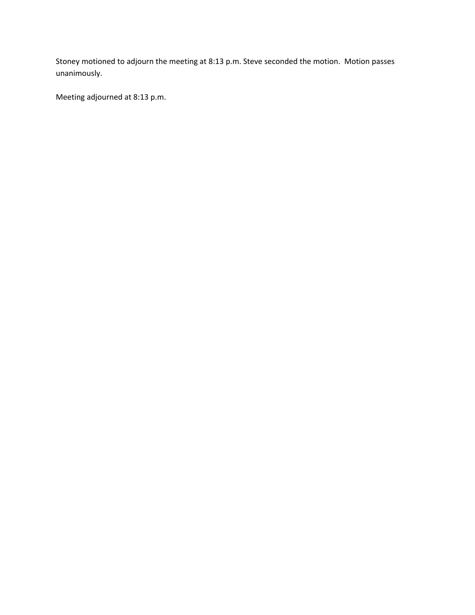Stoney motioned to adjourn the meeting at 8:13 p.m. Steve seconded the motion. Motion passes unanimously.

Meeting adjourned at 8:13 p.m.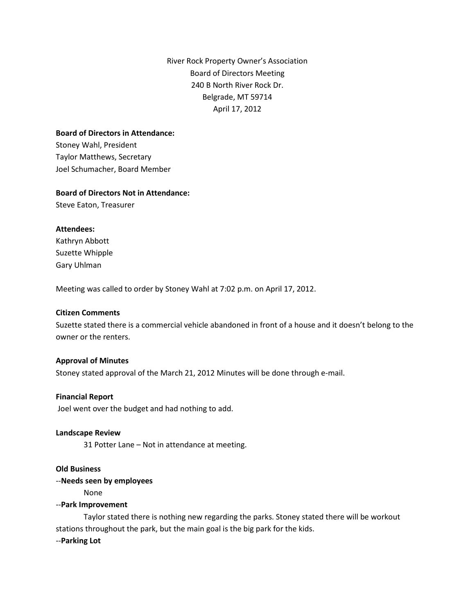River Rock Property Owner's Association Board of Directors Meeting 240 B North River Rock Dr. Belgrade, MT 59714 April 17, 2012

## **Board of Directors in Attendance:**

Stoney Wahl, President Taylor Matthews, Secretary Joel Schumacher, Board Member

## **Board of Directors Not in Attendance:**

Steve Eaton, Treasurer

## **Attendees:**

Kathryn Abbott Suzette Whipple Gary Uhlman

Meeting was called to order by Stoney Wahl at 7:02 p.m. on April 17, 2012.

## **Citizen Comments**

Suzette stated there is a commercial vehicle abandoned in front of a house and it doesn't belong to the owner or the renters.

#### **Approval of Minutes**

Stoney stated approval of the March 21, 2012 Minutes will be done through e-mail.

#### **Financial Report**

Joel went over the budget and had nothing to add.

#### **Landscape Review**

31 Potter Lane – Not in attendance at meeting.

### **Old Business**

## --**Needs seen by employees**

None

#### --**Park Improvement**

Taylor stated there is nothing new regarding the parks. Stoney stated there will be workout stations throughout the park, but the main goal is the big park for the kids. --**Parking Lot**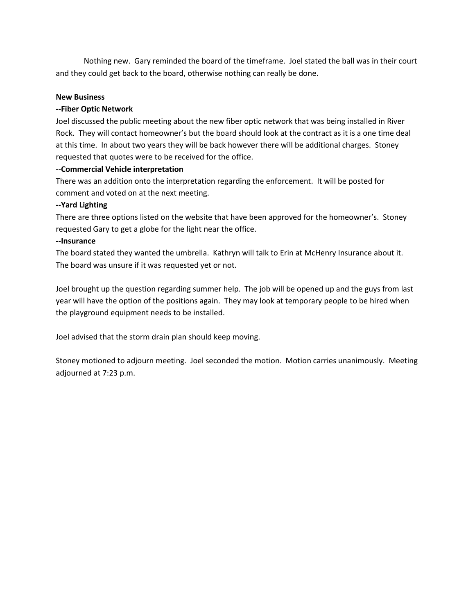Nothing new. Gary reminded the board of the timeframe. Joel stated the ball was in their court and they could get back to the board, otherwise nothing can really be done.

## **New Business**

## **--Fiber Optic Network**

Joel discussed the public meeting about the new fiber optic network that was being installed in River Rock. They will contact homeowner's but the board should look at the contract as it is a one time deal at this time. In about two years they will be back however there will be additional charges. Stoney requested that quotes were to be received for the office.

## --**Commercial Vehicle interpretation**

There was an addition onto the interpretation regarding the enforcement. It will be posted for comment and voted on at the next meeting.

## **--Yard Lighting**

There are three options listed on the website that have been approved for the homeowner's. Stoney requested Gary to get a globe for the light near the office.

## **--Insurance**

The board stated they wanted the umbrella. Kathryn will talk to Erin at McHenry Insurance about it. The board was unsure if it was requested yet or not.

Joel brought up the question regarding summer help. The job will be opened up and the guys from last year will have the option of the positions again. They may look at temporary people to be hired when the playground equipment needs to be installed.

Joel advised that the storm drain plan should keep moving.

Stoney motioned to adjourn meeting. Joel seconded the motion. Motion carries unanimously. Meeting adjourned at 7:23 p.m.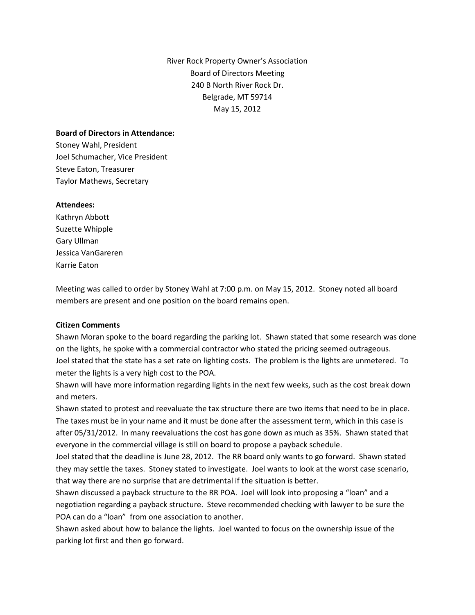River Rock Property Owner's Association Board of Directors Meeting 240 B North River Rock Dr. Belgrade, MT 59714 May 15, 2012

## **Board of Directors in Attendance:**

Stoney Wahl, President Joel Schumacher, Vice President Steve Eaton, Treasurer Taylor Mathews, Secretary

## **Attendees:**

Kathryn Abbott Suzette Whipple Gary Ullman Jessica VanGareren Karrie Eaton

Meeting was called to order by Stoney Wahl at 7:00 p.m. on May 15, 2012. Stoney noted all board members are present and one position on the board remains open.

## **Citizen Comments**

Shawn Moran spoke to the board regarding the parking lot. Shawn stated that some research was done on the lights, he spoke with a commercial contractor who stated the pricing seemed outrageous. Joel stated that the state has a set rate on lighting costs. The problem is the lights are unmetered. To meter the lights is a very high cost to the POA.

Shawn will have more information regarding lights in the next few weeks, such as the cost break down and meters.

Shawn stated to protest and reevaluate the tax structure there are two items that need to be in place. The taxes must be in your name and it must be done after the assessment term, which in this case is after 05/31/2012. In many reevaluations the cost has gone down as much as 35%. Shawn stated that everyone in the commercial village is still on board to propose a payback schedule.

Joel stated that the deadline is June 28, 2012. The RR board only wants to go forward. Shawn stated they may settle the taxes. Stoney stated to investigate. Joel wants to look at the worst case scenario, that way there are no surprise that are detrimental if the situation is better.

Shawn discussed a payback structure to the RR POA. Joel will look into proposing a "loan" and a negotiation regarding a payback structure. Steve recommended checking with lawyer to be sure the POA can do a "loan" from one association to another.

Shawn asked about how to balance the lights. Joel wanted to focus on the ownership issue of the parking lot first and then go forward.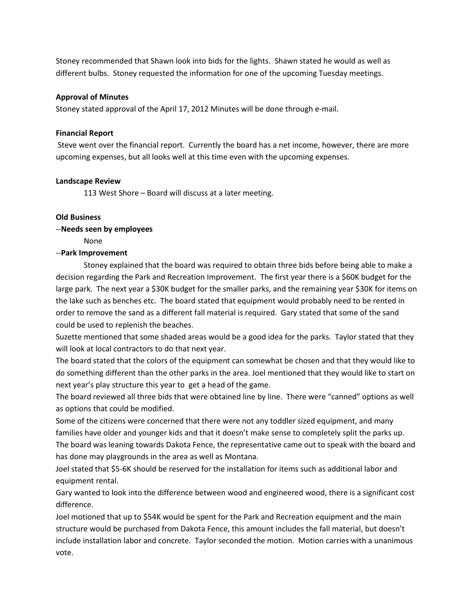Stoney recommended that Shawn look into bids for the lights. Shawn stated he would as well as different bulbs. Stoney requested the information for one of the upcoming Tuesday meetings.

## **Approval of Minutes**

Stoney stated approval of the April 17, 2012 Minutes will be done through e-mail.

## **Financial Report**

Steve went over the financial report. Currently the board has a net income, however, there are more upcoming expenses, but all looks well at this time even with the upcoming expenses.

## **Landscape Review**

113 West Shore – Board will discuss at a later meeting.

## **Old Business**

## --**Needs seen by employees**

None

## --**Park Improvement**

Stoney explained that the board was required to obtain three bids before being able to make a decision regarding the Park and Recreation Improvement. The first year there is a \$60K budget for the large park. The next year a \$30K budget for the smaller parks, and the remaining year \$30K for items on the lake such as benches etc. The board stated that equipment would probably need to be rented in order to remove the sand as a different fall material is required. Gary stated that some of the sand could be used to replenish the beaches.

Suzette mentioned that some shaded areas would be a good idea for the parks. Taylor stated that they will look at local contractors to do that next year.

The board stated that the colors of the equipment can somewhat be chosen and that they would like to do something different than the other parks in the area. Joel mentioned that they would like to start on next year's play structure this year to get a head of the game.

The board reviewed all three bids that were obtained line by line. There were "canned" options as well as options that could be modified.

Some of the citizens were concerned that there were not any toddler sized equipment, and many families have older and younger kids and that it doesn't make sense to completely split the parks up. The board was leaning towards Dakota Fence, the representative came out to speak with the board and has done may playgrounds in the area as well as Montana.

Joel stated that \$5-6K should be reserved for the installation for items such as additional labor and equipment rental.

Gary wanted to look into the difference between wood and engineered wood, there is a significant cost difference.

Joel motioned that up to \$54K would be spent for the Park and Recreation equipment and the main structure would be purchased from Dakota Fence, this amount includes the fall material, but doesn't include installation labor and concrete. Taylor seconded the motion. Motion carries with a unanimous vote.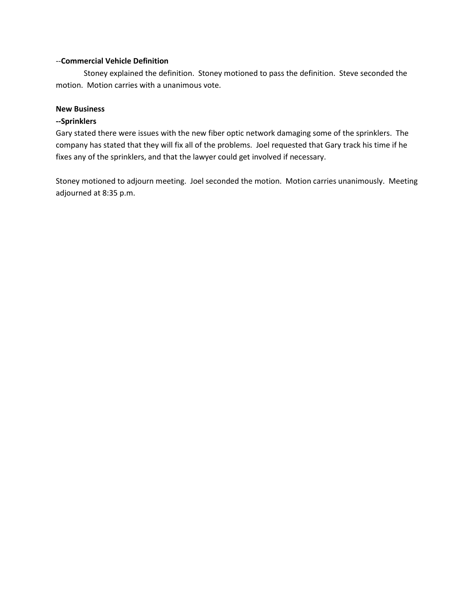## --**Commercial Vehicle Definition**

Stoney explained the definition. Stoney motioned to pass the definition. Steve seconded the motion. Motion carries with a unanimous vote.

## **New Business**

## **--Sprinklers**

Gary stated there were issues with the new fiber optic network damaging some of the sprinklers. The company has stated that they will fix all of the problems. Joel requested that Gary track his time if he fixes any of the sprinklers, and that the lawyer could get involved if necessary.

Stoney motioned to adjourn meeting. Joel seconded the motion. Motion carries unanimously. Meeting adjourned at 8:35 p.m.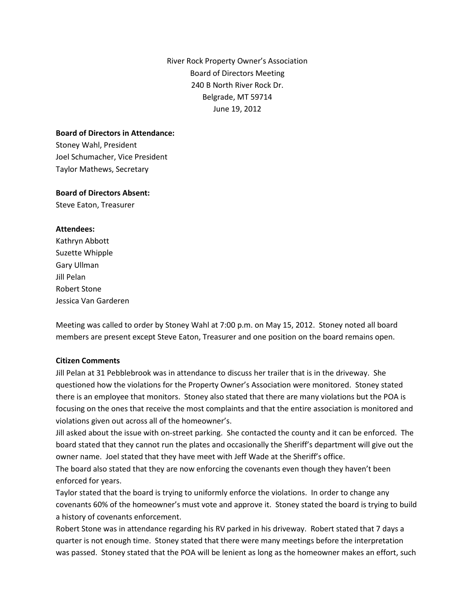River Rock Property Owner's Association Board of Directors Meeting 240 B North River Rock Dr. Belgrade, MT 59714 June 19, 2012

## **Board of Directors in Attendance:**

Stoney Wahl, President Joel Schumacher, Vice President Taylor Mathews, Secretary

## **Board of Directors Absent:**

Steve Eaton, Treasurer

## **Attendees:**

Kathryn Abbott Suzette Whipple Gary Ullman Jill Pelan Robert Stone Jessica Van Garderen

Meeting was called to order by Stoney Wahl at 7:00 p.m. on May 15, 2012. Stoney noted all board members are present except Steve Eaton, Treasurer and one position on the board remains open.

## **Citizen Comments**

Jill Pelan at 31 Pebblebrook was in attendance to discuss her trailer that is in the driveway. She questioned how the violations for the Property Owner's Association were monitored. Stoney stated there is an employee that monitors. Stoney also stated that there are many violations but the POA is focusing on the ones that receive the most complaints and that the entire association is monitored and violations given out across all of the homeowner's.

Jill asked about the issue with on-street parking. She contacted the county and it can be enforced. The board stated that they cannot run the plates and occasionally the Sheriff's department will give out the owner name. Joel stated that they have meet with Jeff Wade at the Sheriff's office.

The board also stated that they are now enforcing the covenants even though they haven't been enforced for years.

Taylor stated that the board is trying to uniformly enforce the violations. In order to change any covenants 60% of the homeowner's must vote and approve it. Stoney stated the board is trying to build a history of covenants enforcement.

Robert Stone was in attendance regarding his RV parked in his driveway. Robert stated that 7 days a quarter is not enough time. Stoney stated that there were many meetings before the interpretation was passed. Stoney stated that the POA will be lenient as long as the homeowner makes an effort, such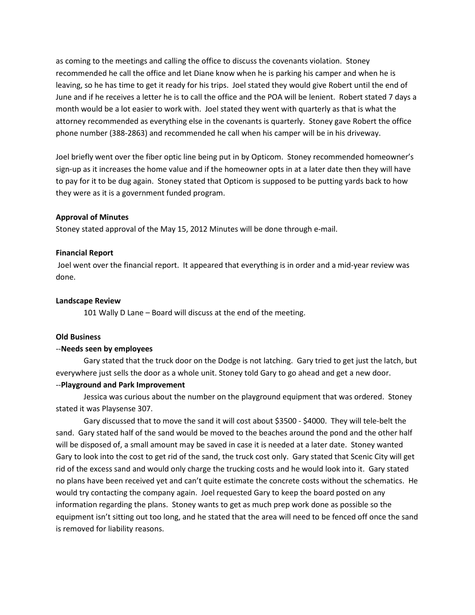as coming to the meetings and calling the office to discuss the covenants violation. Stoney recommended he call the office and let Diane know when he is parking his camper and when he is leaving, so he has time to get it ready for his trips. Joel stated they would give Robert until the end of June and if he receives a letter he is to call the office and the POA will be lenient. Robert stated 7 days a month would be a lot easier to work with. Joel stated they went with quarterly as that is what the attorney recommended as everything else in the covenants is quarterly. Stoney gave Robert the office phone number (388-2863) and recommended he call when his camper will be in his driveway.

Joel briefly went over the fiber optic line being put in by Opticom. Stoney recommended homeowner's sign-up as it increases the home value and if the homeowner opts in at a later date then they will have to pay for it to be dug again. Stoney stated that Opticom is supposed to be putting yards back to how they were as it is a government funded program.

#### **Approval of Minutes**

Stoney stated approval of the May 15, 2012 Minutes will be done through e-mail.

#### **Financial Report**

Joel went over the financial report. It appeared that everything is in order and a mid-year review was done.

#### **Landscape Review**

101 Wally D Lane – Board will discuss at the end of the meeting.

#### **Old Business**

#### --**Needs seen by employees**

Gary stated that the truck door on the Dodge is not latching. Gary tried to get just the latch, but everywhere just sells the door as a whole unit. Stoney told Gary to go ahead and get a new door.

#### --**Playground and Park Improvement**

Jessica was curious about the number on the playground equipment that was ordered. Stoney stated it was Playsense 307.

Gary discussed that to move the sand it will cost about \$3500 - \$4000. They will tele-belt the sand. Gary stated half of the sand would be moved to the beaches around the pond and the other half will be disposed of, a small amount may be saved in case it is needed at a later date. Stoney wanted Gary to look into the cost to get rid of the sand, the truck cost only. Gary stated that Scenic City will get rid of the excess sand and would only charge the trucking costs and he would look into it. Gary stated no plans have been received yet and can't quite estimate the concrete costs without the schematics. He would try contacting the company again. Joel requested Gary to keep the board posted on any information regarding the plans. Stoney wants to get as much prep work done as possible so the equipment isn't sitting out too long, and he stated that the area will need to be fenced off once the sand is removed for liability reasons.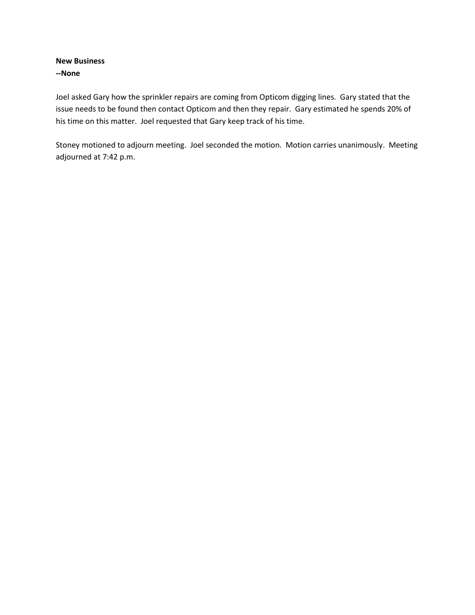## **New Business --None**

Joel asked Gary how the sprinkler repairs are coming from Opticom digging lines. Gary stated that the issue needs to be found then contact Opticom and then they repair. Gary estimated he spends 20% of his time on this matter. Joel requested that Gary keep track of his time.

Stoney motioned to adjourn meeting. Joel seconded the motion. Motion carries unanimously. Meeting adjourned at 7:42 p.m.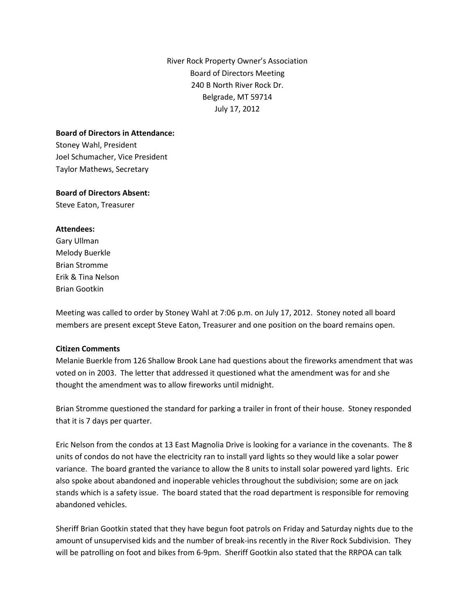River Rock Property Owner's Association Board of Directors Meeting 240 B North River Rock Dr. Belgrade, MT 59714 July 17, 2012

## **Board of Directors in Attendance:**

Stoney Wahl, President Joel Schumacher, Vice President Taylor Mathews, Secretary

## **Board of Directors Absent:**

Steve Eaton, Treasurer

## **Attendees:**

Gary Ullman Melody Buerkle Brian Stromme Erik & Tina Nelson Brian Gootkin

Meeting was called to order by Stoney Wahl at 7:06 p.m. on July 17, 2012. Stoney noted all board members are present except Steve Eaton, Treasurer and one position on the board remains open.

#### **Citizen Comments**

Melanie Buerkle from 126 Shallow Brook Lane had questions about the fireworks amendment that was voted on in 2003. The letter that addressed it questioned what the amendment was for and she thought the amendment was to allow fireworks until midnight.

Brian Stromme questioned the standard for parking a trailer in front of their house. Stoney responded that it is 7 days per quarter.

Eric Nelson from the condos at 13 East Magnolia Drive is looking for a variance in the covenants. The 8 units of condos do not have the electricity ran to install yard lights so they would like a solar power variance. The board granted the variance to allow the 8 units to install solar powered yard lights. Eric also spoke about abandoned and inoperable vehicles throughout the subdivision; some are on jack stands which is a safety issue. The board stated that the road department is responsible for removing abandoned vehicles.

Sheriff Brian Gootkin stated that they have begun foot patrols on Friday and Saturday nights due to the amount of unsupervised kids and the number of break-ins recently in the River Rock Subdivision. They will be patrolling on foot and bikes from 6-9pm. Sheriff Gootkin also stated that the RRPOA can talk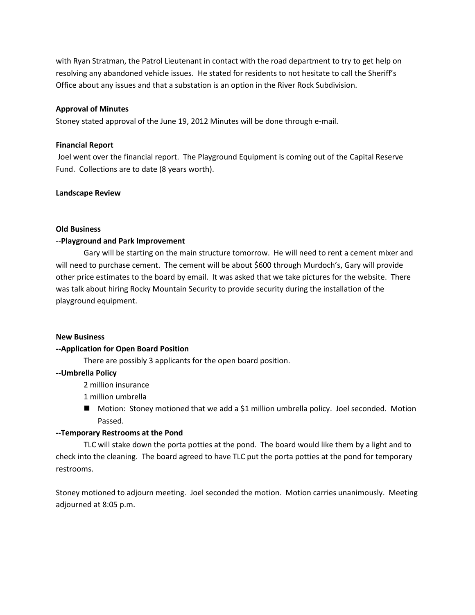with Ryan Stratman, the Patrol Lieutenant in contact with the road department to try to get help on resolving any abandoned vehicle issues. He stated for residents to not hesitate to call the Sheriff's Office about any issues and that a substation is an option in the River Rock Subdivision.

## **Approval of Minutes**

Stoney stated approval of the June 19, 2012 Minutes will be done through e-mail.

### **Financial Report**

Joel went over the financial report. The Playground Equipment is coming out of the Capital Reserve Fund. Collections are to date (8 years worth).

## **Landscape Review**

## **Old Business**

## --**Playground and Park Improvement**

Gary will be starting on the main structure tomorrow. He will need to rent a cement mixer and will need to purchase cement. The cement will be about \$600 through Murdoch's, Gary will provide other price estimates to the board by email. It was asked that we take pictures for the website. There was talk about hiring Rocky Mountain Security to provide security during the installation of the playground equipment.

#### **New Business**

## **--Application for Open Board Position**

There are possibly 3 applicants for the open board position.

#### **--Umbrella Policy**

2 million insurance

1 million umbrella

■ Motion: Stoney motioned that we add a \$1 million umbrella policy. Joel seconded. Motion Passed.

#### **--Temporary Restrooms at the Pond**

TLC will stake down the porta potties at the pond. The board would like them by a light and to check into the cleaning. The board agreed to have TLC put the porta potties at the pond for temporary restrooms.

Stoney motioned to adjourn meeting. Joel seconded the motion. Motion carries unanimously. Meeting adjourned at 8:05 p.m.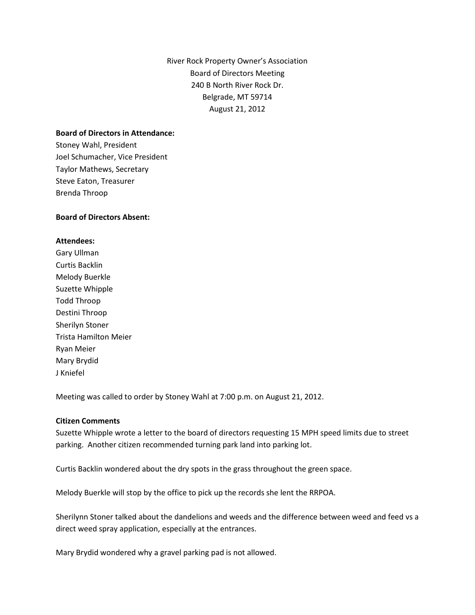River Rock Property Owner's Association Board of Directors Meeting 240 B North River Rock Dr. Belgrade, MT 59714 August 21, 2012

#### **Board of Directors in Attendance:**

Stoney Wahl, President Joel Schumacher, Vice President Taylor Mathews, Secretary Steve Eaton, Treasurer Brenda Throop

## **Board of Directors Absent:**

## **Attendees:**

Gary Ullman Curtis Backlin Melody Buerkle Suzette Whipple Todd Throop Destini Throop Sherilyn Stoner Trista Hamilton Meier Ryan Meier Mary Brydid J Kniefel

Meeting was called to order by Stoney Wahl at 7:00 p.m. on August 21, 2012.

### **Citizen Comments**

Suzette Whipple wrote a letter to the board of directors requesting 15 MPH speed limits due to street parking. Another citizen recommended turning park land into parking lot.

Curtis Backlin wondered about the dry spots in the grass throughout the green space.

Melody Buerkle will stop by the office to pick up the records she lent the RRPOA.

Sherilynn Stoner talked about the dandelions and weeds and the difference between weed and feed vs a direct weed spray application, especially at the entrances.

Mary Brydid wondered why a gravel parking pad is not allowed.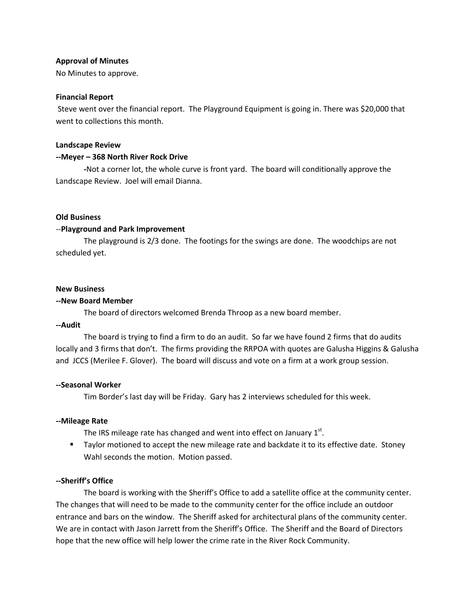### **Approval of Minutes**

No Minutes to approve.

### **Financial Report**

Steve went over the financial report. The Playground Equipment is going in. There was \$20,000 that went to collections this month.

### **Landscape Review**

## **--Meyer – 368 North River Rock Drive**

**-**Not a corner lot, the whole curve is front yard. The board will conditionally approve the Landscape Review. Joel will email Dianna.

## **Old Business**

## --**Playground and Park Improvement**

The playground is 2/3 done. The footings for the swings are done. The woodchips are not scheduled yet.

#### **New Business**

## **--New Board Member**

The board of directors welcomed Brenda Throop as a new board member.

## **--Audit**

The board is trying to find a firm to do an audit. So far we have found 2 firms that do audits locally and 3 firms that don't. The firms providing the RRPOA with quotes are Galusha Higgins & Galusha and JCCS (Merilee F. Glover). The board will discuss and vote on a firm at a work group session.

## **--Seasonal Worker**

Tim Border's last day will be Friday. Gary has 2 interviews scheduled for this week.

## **--Mileage Rate**

The IRS mileage rate has changed and went into effect on January 1st.

**Taylor motioned to accept the new mileage rate and backdate it to its effective date. Stoney** Wahl seconds the motion. Motion passed.

## **--Sheriff's Office**

The board is working with the Sheriff's Office to add a satellite office at the community center. The changes that will need to be made to the community center for the office include an outdoor entrance and bars on the window. The Sheriff asked for architectural plans of the community center. We are in contact with Jason Jarrett from the Sheriff's Office. The Sheriff and the Board of Directors hope that the new office will help lower the crime rate in the River Rock Community.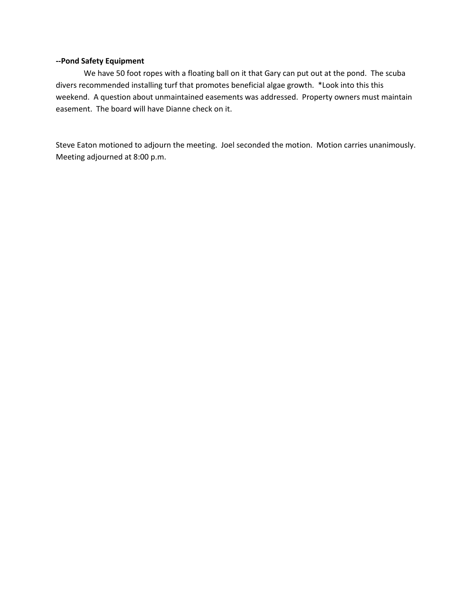#### **--Pond Safety Equipment**

We have 50 foot ropes with a floating ball on it that Gary can put out at the pond. The scuba divers recommended installing turf that promotes beneficial algae growth. \*Look into this this weekend. A question about unmaintained easements was addressed. Property owners must maintain easement. The board will have Dianne check on it.

Steve Eaton motioned to adjourn the meeting. Joel seconded the motion. Motion carries unanimously. Meeting adjourned at 8:00 p.m.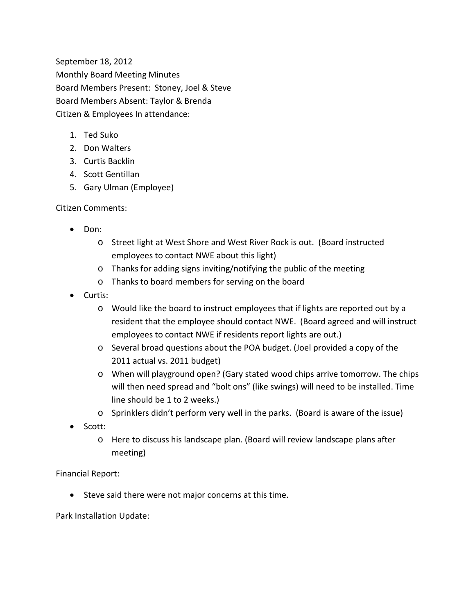September 18, 2012 Monthly Board Meeting Minutes Board Members Present: Stoney, Joel & Steve Board Members Absent: Taylor & Brenda Citizen & Employees In attendance:

- 1. Ted Suko
- 2. Don Walters
- 3. Curtis Backlin
- 4. Scott Gentillan
- 5. Gary Ulman (Employee)

Citizen Comments:

- Don:
	- o Street light at West Shore and West River Rock is out. (Board instructed employees to contact NWE about this light)
	- o Thanks for adding signs inviting/notifying the public of the meeting
	- o Thanks to board members for serving on the board
- Curtis:
	- o Would like the board to instruct employees that if lights are reported out by a resident that the employee should contact NWE. (Board agreed and will instruct employees to contact NWE if residents report lights are out.)
	- o Several broad questions about the POA budget. (Joel provided a copy of the 2011 actual vs. 2011 budget)
	- o When will playground open? (Gary stated wood chips arrive tomorrow. The chips will then need spread and "bolt ons" (like swings) will need to be installed. Time line should be 1 to 2 weeks.)
	- o Sprinklers didn't perform very well in the parks. (Board is aware of the issue)
- Scott:
	- o Here to discuss his landscape plan. (Board will review landscape plans after meeting)

Financial Report:

• Steve said there were not major concerns at this time.

Park Installation Update: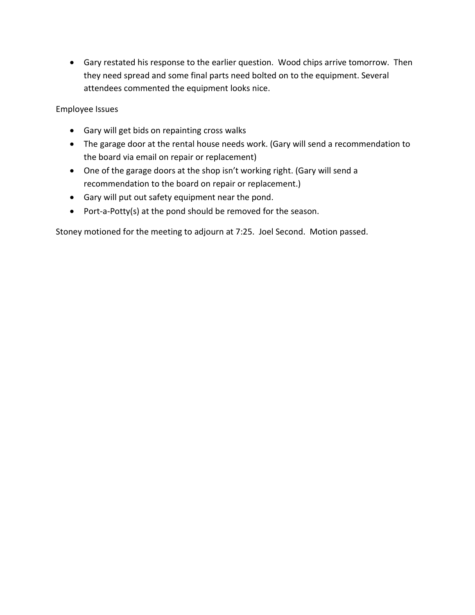• Gary restated his response to the earlier question. Wood chips arrive tomorrow. Then they need spread and some final parts need bolted on to the equipment. Several attendees commented the equipment looks nice.

Employee Issues

- Gary will get bids on repainting cross walks
- The garage door at the rental house needs work. (Gary will send a recommendation to the board via email on repair or replacement)
- One of the garage doors at the shop isn't working right. (Gary will send a recommendation to the board on repair or replacement.)
- Gary will put out safety equipment near the pond.
- Port-a-Potty(s) at the pond should be removed for the season.

Stoney motioned for the meeting to adjourn at 7:25. Joel Second. Motion passed.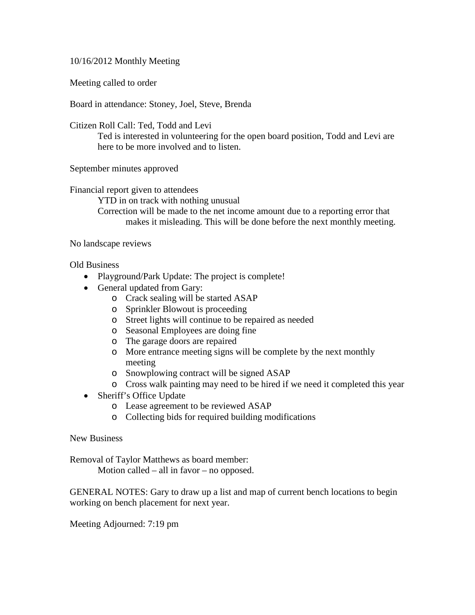10/16/2012 Monthly Meeting

Meeting called to order

Board in attendance: Stoney, Joel, Steve, Brenda

Citizen Roll Call: Ted, Todd and Levi

Ted is interested in volunteering for the open board position, Todd and Levi are here to be more involved and to listen.

September minutes approved

Financial report given to attendees

YTD in on track with nothing unusual Correction will be made to the net income amount due to a reporting error that makes it misleading. This will be done before the next monthly meeting.

No landscape reviews

Old Business

- Playground/Park Update: The project is complete!
- General updated from Gary:
	- o Crack sealing will be started ASAP
	- o Sprinkler Blowout is proceeding
	- o Street lights will continue to be repaired as needed
	- o Seasonal Employees are doing fine
	- o The garage doors are repaired
	- o More entrance meeting signs will be complete by the next monthly meeting
	- o Snowplowing contract will be signed ASAP
	- o Cross walk painting may need to be hired if we need it completed this year
- Sheriff's Office Update
	- o Lease agreement to be reviewed ASAP
	- o Collecting bids for required building modifications

New Business

Removal of Taylor Matthews as board member:

Motion called – all in favor – no opposed.

GENERAL NOTES: Gary to draw up a list and map of current bench locations to begin working on bench placement for next year.

Meeting Adjourned: 7:19 pm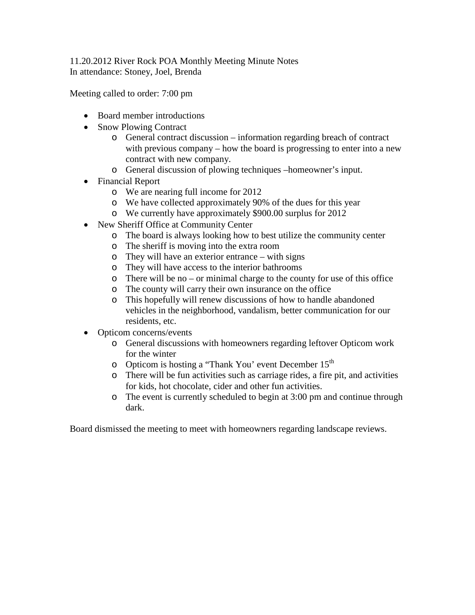# 11.20.2012 River Rock POA Monthly Meeting Minute Notes In attendance: Stoney, Joel, Brenda

Meeting called to order: 7:00 pm

- Board member introductions
- Snow Plowing Contract
	- o General contract discussion information regarding breach of contract with previous company – how the board is progressing to enter into a new contract with new company.
	- o General discussion of plowing techniques –homeowner's input.
- Financial Report
	- o We are nearing full income for 2012
	- o We have collected approximately 90% of the dues for this year
	- o We currently have approximately \$900.00 surplus for 2012
- New Sheriff Office at Community Center
	- o The board is always looking how to best utilize the community center
	- o The sheriff is moving into the extra room
	- o They will have an exterior entrance with signs
	- o They will have access to the interior bathrooms
	- o There will be no or minimal charge to the county for use of this office
	- o The county will carry their own insurance on the office
	- o This hopefully will renew discussions of how to handle abandoned vehicles in the neighborhood, vandalism, better communication for our residents, etc.
- Opticom concerns/events
	- o General discussions with homeowners regarding leftover Opticom work for the winter
	- o Opticom is hosting a "Thank You' event December 15<sup>th</sup>
	- o There will be fun activities such as carriage rides, a fire pit, and activities for kids, hot chocolate, cider and other fun activities.
	- o The event is currently scheduled to begin at 3:00 pm and continue through dark.

Board dismissed the meeting to meet with homeowners regarding landscape reviews.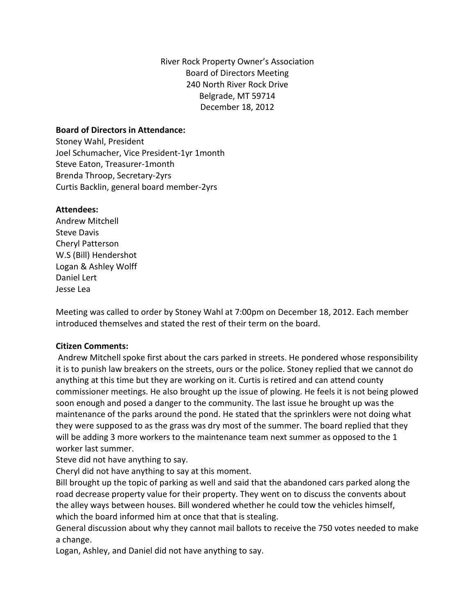River Rock Property Owner's Association Board of Directors Meeting 240 North River Rock Drive Belgrade, MT 59714 December 18, 2012

## **Board of Directors in Attendance:**

Stoney Wahl, President Joel Schumacher, Vice President-1yr 1month Steve Eaton, Treasurer-1month Brenda Throop, Secretary-2yrs Curtis Backlin, general board member-2yrs

## **Attendees:**

Andrew Mitchell Steve Davis Cheryl Patterson W.S (Bill) Hendershot Logan & Ashley Wolff Daniel Lert Jesse Lea

Meeting was called to order by Stoney Wahl at 7:00pm on December 18, 2012. Each member introduced themselves and stated the rest of their term on the board.

## **Citizen Comments:**

Andrew Mitchell spoke first about the cars parked in streets. He pondered whose responsibility it is to punish law breakers on the streets, ours or the police. Stoney replied that we cannot do anything at this time but they are working on it. Curtis is retired and can attend county commissioner meetings. He also brought up the issue of plowing. He feels it is not being plowed soon enough and posed a danger to the community. The last issue he brought up was the maintenance of the parks around the pond. He stated that the sprinklers were not doing what they were supposed to as the grass was dry most of the summer. The board replied that they will be adding 3 more workers to the maintenance team next summer as opposed to the 1 worker last summer.

Steve did not have anything to say.

Cheryl did not have anything to say at this moment.

Bill brought up the topic of parking as well and said that the abandoned cars parked along the road decrease property value for their property. They went on to discuss the convents about the alley ways between houses. Bill wondered whether he could tow the vehicles himself, which the board informed him at once that that is stealing.

General discussion about why they cannot mail ballots to receive the 750 votes needed to make a change.

Logan, Ashley, and Daniel did not have anything to say.